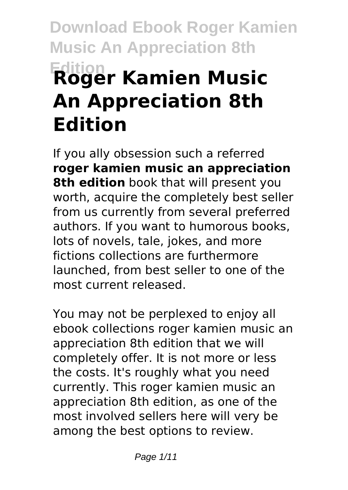# **Download Ebook Roger Kamien Music An Appreciation 8th Edition Roger Kamien Music An Appreciation 8th Edition**

If you ally obsession such a referred **roger kamien music an appreciation 8th edition** book that will present you worth, acquire the completely best seller from us currently from several preferred authors. If you want to humorous books, lots of novels, tale, jokes, and more fictions collections are furthermore launched, from best seller to one of the most current released.

You may not be perplexed to enjoy all ebook collections roger kamien music an appreciation 8th edition that we will completely offer. It is not more or less the costs. It's roughly what you need currently. This roger kamien music an appreciation 8th edition, as one of the most involved sellers here will very be among the best options to review.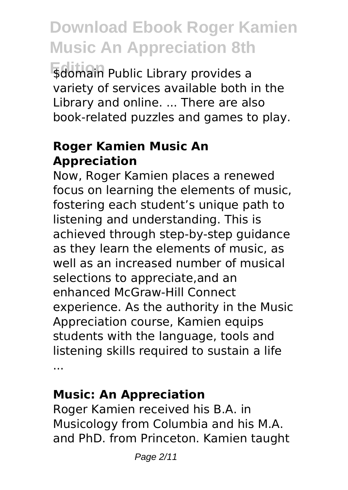**\$domain Public Library provides a** variety of services available both in the Library and online. ... There are also book-related puzzles and games to play.

### **Roger Kamien Music An Appreciation**

Now, Roger Kamien places a renewed focus on learning the elements of music, fostering each student's unique path to listening and understanding. This is achieved through step-by-step guidance as they learn the elements of music, as well as an increased number of musical selections to appreciate,and an enhanced McGraw-Hill Connect experience. As the authority in the Music Appreciation course, Kamien equips students with the language, tools and listening skills required to sustain a life ...

### **Music: An Appreciation**

Roger Kamien received his B.A. in Musicology from Columbia and his M.A. and PhD. from Princeton. Kamien taught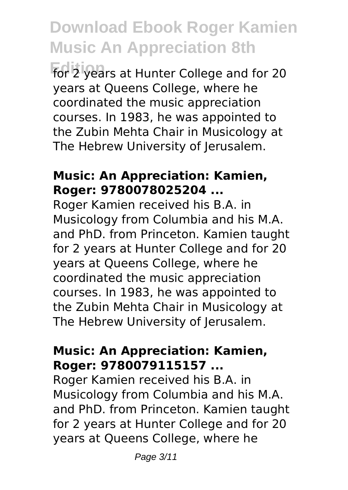**Edition** for 2 years at Hunter College and for 20 years at Queens College, where he coordinated the music appreciation courses. In 1983, he was appointed to the Zubin Mehta Chair in Musicology at The Hebrew University of Jerusalem.

### **Music: An Appreciation: Kamien, Roger: 9780078025204 ...**

Roger Kamien received his B.A. in Musicology from Columbia and his M.A. and PhD. from Princeton. Kamien taught for 2 years at Hunter College and for 20 years at Queens College, where he coordinated the music appreciation courses. In 1983, he was appointed to the Zubin Mehta Chair in Musicology at The Hebrew University of Jerusalem.

### **Music: An Appreciation: Kamien, Roger: 9780079115157 ...**

Roger Kamien received his B.A. in Musicology from Columbia and his M.A. and PhD. from Princeton. Kamien taught for 2 years at Hunter College and for 20 years at Queens College, where he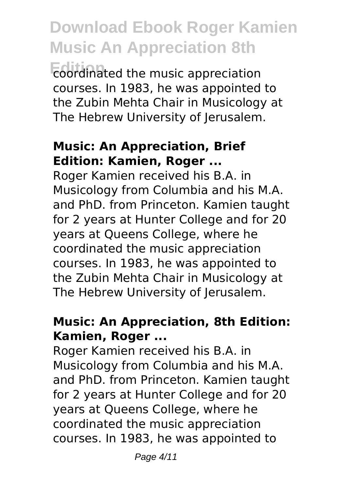**Edition** coordinated the music appreciation courses. In 1983, he was appointed to the Zubin Mehta Chair in Musicology at The Hebrew University of Jerusalem.

### **Music: An Appreciation, Brief Edition: Kamien, Roger ...**

Roger Kamien received his B.A. in Musicology from Columbia and his M.A. and PhD. from Princeton. Kamien taught for 2 years at Hunter College and for 20 years at Queens College, where he coordinated the music appreciation courses. In 1983, he was appointed to the Zubin Mehta Chair in Musicology at The Hebrew University of Jerusalem.

# **Music: An Appreciation, 8th Edition: Kamien, Roger ...**

Roger Kamien received his B.A. in Musicology from Columbia and his M.A. and PhD. from Princeton. Kamien taught for 2 years at Hunter College and for 20 years at Queens College, where he coordinated the music appreciation courses. In 1983, he was appointed to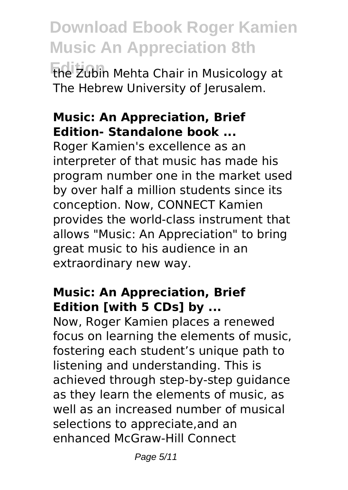**Download Ebook Roger Kamien Music An Appreciation 8th Edition** the Zubin Mehta Chair in Musicology at

The Hebrew University of Jerusalem.

### **Music: An Appreciation, Brief Edition- Standalone book ...**

Roger Kamien's excellence as an interpreter of that music has made his program number one in the market used by over half a million students since its conception. Now, CONNECT Kamien provides the world-class instrument that allows "Music: An Appreciation" to bring great music to his audience in an extraordinary new way.

# **Music: An Appreciation, Brief Edition [with 5 CDs] by ...**

Now, Roger Kamien places a renewed focus on learning the elements of music, fostering each student's unique path to listening and understanding. This is achieved through step-by-step guidance as they learn the elements of music, as well as an increased number of musical selections to appreciate,and an enhanced McGraw-Hill Connect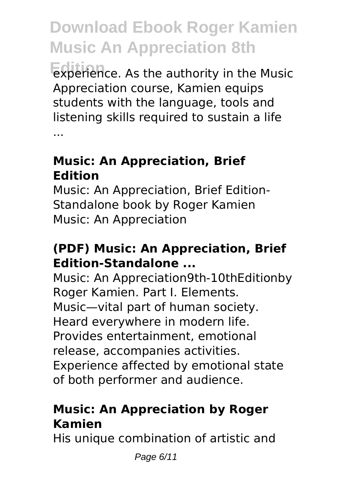**Edition** experience. As the authority in the Music Appreciation course, Kamien equips students with the language, tools and listening skills required to sustain a life ...

### **Music: An Appreciation, Brief Edition**

Music: An Appreciation, Brief Edition-Standalone book by Roger Kamien Music: An Appreciation

### **(PDF) Music: An Appreciation, Brief Edition-Standalone ...**

Music: An Appreciation9th-10thEditionby Roger Kamien. Part I. Elements. Music—vital part of human society. Heard everywhere in modern life. Provides entertainment, emotional release, accompanies activities. Experience affected by emotional state of both performer and audience.

# **Music: An Appreciation by Roger Kamien**

His unique combination of artistic and

Page 6/11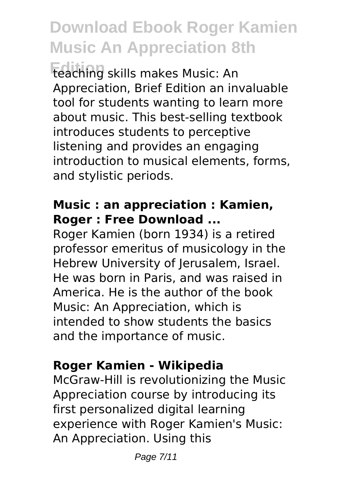**Edition** teaching skills makes Music: An Appreciation, Brief Edition an invaluable tool for students wanting to learn more about music. This best-selling textbook introduces students to perceptive listening and provides an engaging introduction to musical elements, forms, and stylistic periods.

#### **Music : an appreciation : Kamien, Roger : Free Download ...**

Roger Kamien (born 1934) is a retired professor emeritus of musicology in the Hebrew University of Jerusalem, Israel. He was born in Paris, and was raised in America. He is the author of the book Music: An Appreciation, which is intended to show students the basics and the importance of music.

# **Roger Kamien - Wikipedia**

McGraw-Hill is revolutionizing the Music Appreciation course by introducing its first personalized digital learning experience with Roger Kamien's Music: An Appreciation. Using this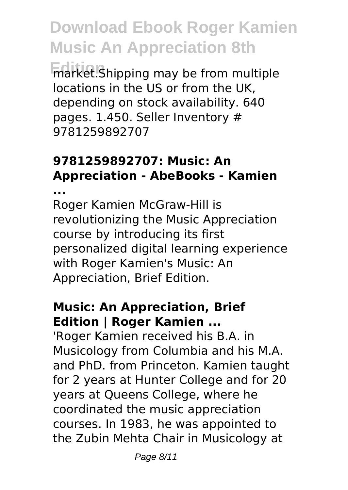**Edition** market.Shipping may be from multiple locations in the US or from the UK, depending on stock availability. 640 pages. 1.450. Seller Inventory # 9781259892707

# **9781259892707: Music: An Appreciation - AbeBooks - Kamien**

**...**

Roger Kamien McGraw-Hill is revolutionizing the Music Appreciation course by introducing its first personalized digital learning experience with Roger Kamien's Music: An Appreciation, Brief Edition.

### **Music: An Appreciation, Brief Edition | Roger Kamien ...**

'Roger Kamien received his B.A. in Musicology from Columbia and his M.A. and PhD. from Princeton. Kamien taught for 2 years at Hunter College and for 20 years at Queens College, where he coordinated the music appreciation courses. In 1983, he was appointed to the Zubin Mehta Chair in Musicology at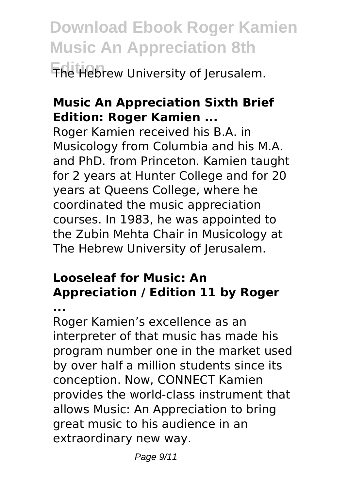**Download Ebook Roger Kamien Music An Appreciation 8th Edition** The Hebrew University of Jerusalem.

# **Music An Appreciation Sixth Brief Edition: Roger Kamien ...**

Roger Kamien received his B.A. in Musicology from Columbia and his M.A. and PhD. from Princeton. Kamien taught for 2 years at Hunter College and for 20 years at Queens College, where he coordinated the music appreciation courses. In 1983, he was appointed to the Zubin Mehta Chair in Musicology at The Hebrew University of Jerusalem.

# **Looseleaf for Music: An Appreciation / Edition 11 by Roger**

**...**

Roger Kamien's excellence as an interpreter of that music has made his program number one in the market used by over half a million students since its conception. Now, CONNECT Kamien provides the world-class instrument that allows Music: An Appreciation to bring great music to his audience in an extraordinary new way.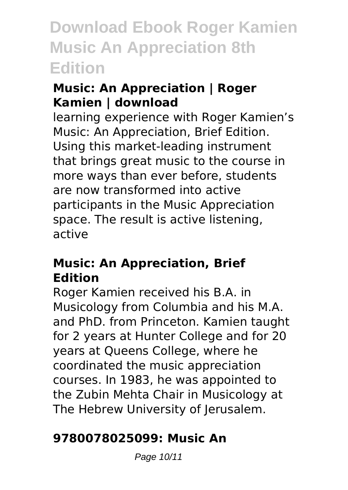# **Music: An Appreciation | Roger Kamien | download**

learning experience with Roger Kamien's Music: An Appreciation, Brief Edition. Using this market-leading instrument that brings great music to the course in more ways than ever before, students are now transformed into active participants in the Music Appreciation space. The result is active listening, active

### **Music: An Appreciation, Brief Edition**

Roger Kamien received his B.A. in Musicology from Columbia and his M.A. and PhD. from Princeton. Kamien taught for 2 years at Hunter College and for 20 years at Queens College, where he coordinated the music appreciation courses. In 1983, he was appointed to the Zubin Mehta Chair in Musicology at The Hebrew University of Jerusalem.

# **9780078025099: Music An**

Page 10/11